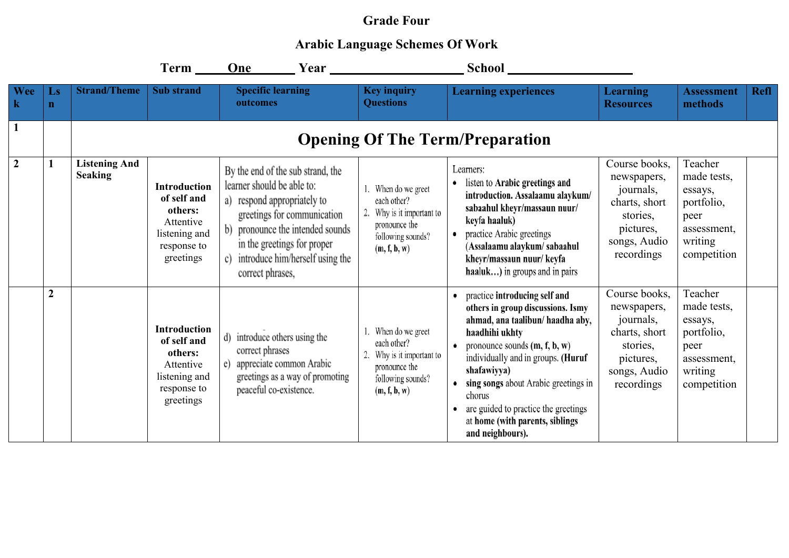## **Grade Four**

## **Arabic Language Schemes Of Work**

|                  |                                        |                                        | Term ______                                                                                             | One Year Vear                                                                                                                                                                                                                                        |                                                                                                                 |                                                                                                                                                                                                                                                                                                                                                                   |                                                                                                                   |                                                                                                  |             |
|------------------|----------------------------------------|----------------------------------------|---------------------------------------------------------------------------------------------------------|------------------------------------------------------------------------------------------------------------------------------------------------------------------------------------------------------------------------------------------------------|-----------------------------------------------------------------------------------------------------------------|-------------------------------------------------------------------------------------------------------------------------------------------------------------------------------------------------------------------------------------------------------------------------------------------------------------------------------------------------------------------|-------------------------------------------------------------------------------------------------------------------|--------------------------------------------------------------------------------------------------|-------------|
| Wee<br>$\bf k$   | $\mathbf{L}\mathbf{s}$<br>$\mathbf{n}$ | <b>Strand/Theme</b>                    | <b>Sub</b> strand                                                                                       | <b>Specific learning</b><br>outcomes                                                                                                                                                                                                                 | <b>Key inquiry</b><br><b>Questions</b>                                                                          | <b>Learning experiences</b>                                                                                                                                                                                                                                                                                                                                       | <b>Learning</b><br><b>Resources</b>                                                                               | <b>Assessment</b><br>methods                                                                     | <b>Refl</b> |
|                  |                                        |                                        |                                                                                                         |                                                                                                                                                                                                                                                      |                                                                                                                 | <b>Opening Of The Term/Preparation</b>                                                                                                                                                                                                                                                                                                                            |                                                                                                                   |                                                                                                  |             |
| $\boldsymbol{2}$ | $\mathbf{1}$                           | <b>Listening And</b><br><b>Seaking</b> | <b>Introduction</b><br>of self and<br>others:<br>Attentive<br>listening and<br>response to<br>greetings | By the end of the sub strand, the<br>learner should be able to:<br>a) respond appropriately to<br>greetings for communication<br>pronounce the intended sounds<br>in the greetings for proper<br>introduce him/herself using the<br>correct phrases, | When do we greet<br>each other?<br>Why is it important to<br>pronounce the<br>following sounds?<br>(m, f, b, w) | Learners:<br>listen to Arabic greetings and<br>introduction. Assalaamu alaykum/<br>sabaahul kheyr/massaun nuur/<br>keyfa haaluk)<br>practice Arabic greetings<br>(Assalaamu alaykum/ sabaahul<br>kheyr/massaun nuur/ keyfa<br>haaluk) in groups and in pairs                                                                                                      | Course books,<br>newspapers,<br>journals,<br>charts, short<br>stories,<br>pictures,<br>songs, Audio<br>recordings | Teacher<br>made tests,<br>essays,<br>portfolio,<br>peer<br>assessment,<br>writing<br>competition |             |
|                  | $\boldsymbol{2}$                       |                                        | <b>Introduction</b><br>of self and<br>others:<br>Attentive<br>listening and<br>response to<br>greetings | d) introduce others using the<br>correct phrases<br>appreciate common Arabic<br>e)<br>greetings as a way of promoting<br>peaceful co-existence.                                                                                                      | When do we greet<br>each other?<br>Why is it important to<br>pronounce the<br>following sounds?<br>(m, f, b, w) | practice introducing self and<br>others in group discussions. Ismy<br>ahmad, ana taalibun/ haadha aby,<br>haadhihi ukhty<br>pronounce sounds $(m, f, b, w)$<br>individually and in groups. (Huruf<br>shafawiyya)<br>sing songs about Arabic greetings in<br>chorus<br>are guided to practice the greetings<br>at home (with parents, siblings<br>and neighbours). | Course books,<br>newspapers,<br>journals,<br>charts, short<br>stories,<br>pictures,<br>songs, Audio<br>recordings | Teacher<br>made tests,<br>essays,<br>portfolio,<br>peer<br>assessment,<br>writing<br>competition |             |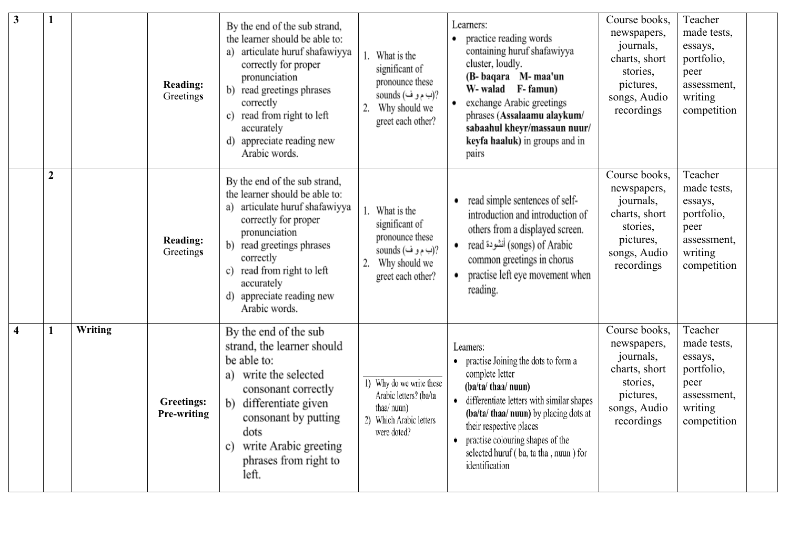| $\mathbf{3}$            | $\mathbf{1}$     |         | <b>Reading:</b><br>Greetings            | By the end of the sub strand,<br>the learner should be able to:<br>articulate huruf shafawiyya<br>correctly for proper<br>pronunciation<br>read greetings phrases<br>b)<br>correctly<br>read from right to left<br>c)<br>accurately<br>appreciate reading new<br>d)<br>Arabic words. | What is the<br>significant of<br>pronounce these<br>sounds (ب م و ف)<br>Why should we<br>greet each other?  | Learners:<br>practice reading words<br>containing huruf shafawiyya<br>cluster, loudly.<br>(B-baqara M-maa'un<br>W- walad F- famun)<br>exchange Arabic greetings<br>phrases (Assalaamu alaykum/<br>sabaahul kheyr/massaun nuur/<br>keyfa haaluk) in groups and in<br>pairs                                   | Course books,<br>newspapers,<br>journals,<br>charts, short<br>stories,<br>pictures,<br>songs, Audio<br>recordings | Teacher<br>made tests,<br>essays,<br>portfolio,<br>peer<br>assessment,<br>writing<br>competition |
|-------------------------|------------------|---------|-----------------------------------------|--------------------------------------------------------------------------------------------------------------------------------------------------------------------------------------------------------------------------------------------------------------------------------------|-------------------------------------------------------------------------------------------------------------|-------------------------------------------------------------------------------------------------------------------------------------------------------------------------------------------------------------------------------------------------------------------------------------------------------------|-------------------------------------------------------------------------------------------------------------------|--------------------------------------------------------------------------------------------------|
|                         | $\boldsymbol{2}$ |         | <b>Reading:</b><br>Greetings            | By the end of the sub strand,<br>the learner should be able to:<br>articulate huruf shafawiyya<br>correctly for proper<br>pronunciation<br>b) read greetings phrases<br>correctly<br>read from right to left<br>accurately<br>appreciate reading new<br>Arabic words.                | What is the<br>significant of<br>pronounce these<br>sounds (ب م و ف)<br>Why should we<br>greet each other?  | read simple sentences of self-<br>$\bullet$<br>introduction and introduction of<br>others from a displayed screen.<br>read أنشودة) of Arabic<br>common greetings in chorus<br>practise left eye movement when<br>reading.                                                                                   | Course books,<br>newspapers,<br>journals,<br>charts, short<br>stories,<br>pictures,<br>songs, Audio<br>recordings | Teacher<br>made tests,<br>essays,<br>portfolio,<br>peer<br>assessment,<br>writing<br>competition |
| $\overline{\mathbf{4}}$ | $\mathbf{1}$     | Writing | <b>Greetings:</b><br><b>Pre-writing</b> | By the end of the sub<br>strand, the learner should<br>be able to:<br>write the selected<br>a)<br>consonant correctly<br>differentiate given<br>b)<br>consonant by putting<br>dots<br>c) write Arabic greeting<br>phrases from right to<br>left.                                     | 1) Why do we write these<br>Arabic letters? (ba/ta<br>thaa/ nuun)<br>2) Which Arabic letters<br>were doted? | Learners:<br>practise Joining the dots to form a<br>complete letter<br>(ba/ta/ thaa/ nuun)<br>differentiate letters with similar shapes<br>(ba/ta/ thaa/ nuun) by placing dots at<br>their respective places<br>practise colouring shapes of the<br>selected huruf (ba, ta tha, nuun) for<br>identification | Course books.<br>newspapers,<br>journals,<br>charts, short<br>stories,<br>pictures,<br>songs, Audio<br>recordings | Teacher<br>made tests,<br>essays,<br>portfolio,<br>peer<br>assessment,<br>writing<br>competition |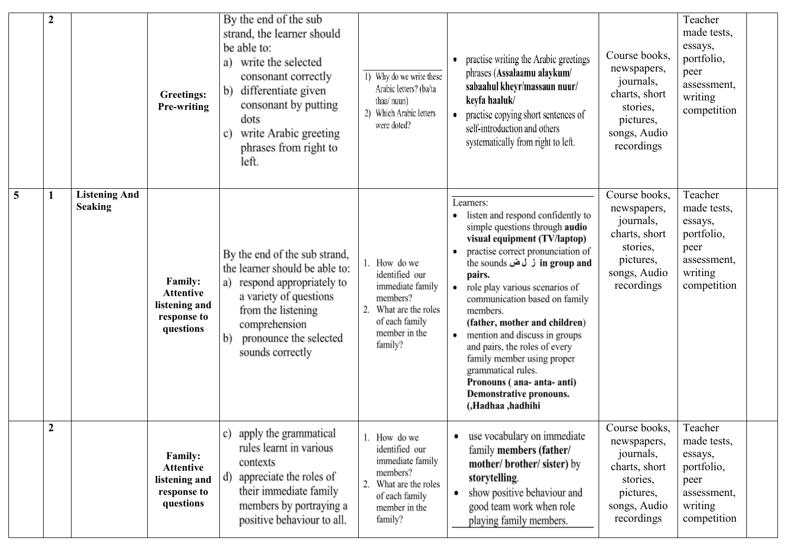|   | $\boldsymbol{2}$ |                                        | <b>Greetings:</b><br>Pre-writing                                                | By the end of the sub<br>strand, the learner should<br>be able to:<br>write the selected<br>a)<br>consonant correctly<br>differentiate given<br>b)<br>consonant by putting<br>dots<br>write Arabic greeting<br>c)<br>phrases from right to<br>left. | 1) Why do we write these<br>Arabic letters? (ba/ta<br>thaa/ nuun)<br>2) Which Arabic letters<br>were doted?                           | practise writing the Arabic greetings<br>phrases (Assalaamu alaykum/<br>sabaahul kheyr/massaun nuur/<br>keyfa haaluk/<br>practise copying short sentences of<br>٠<br>self-introduction and others<br>systematically from right to left.                                                                                                                                                                                                                                                                                                | Course books.<br>newspapers,<br>journals,<br>charts, short<br>stories,<br>pictures,<br>songs, Audio<br>recordings | Teacher<br>made tests,<br>essays,<br>portfolio,<br>peer<br>assessment,<br>writing<br>competition |
|---|------------------|----------------------------------------|---------------------------------------------------------------------------------|-----------------------------------------------------------------------------------------------------------------------------------------------------------------------------------------------------------------------------------------------------|---------------------------------------------------------------------------------------------------------------------------------------|----------------------------------------------------------------------------------------------------------------------------------------------------------------------------------------------------------------------------------------------------------------------------------------------------------------------------------------------------------------------------------------------------------------------------------------------------------------------------------------------------------------------------------------|-------------------------------------------------------------------------------------------------------------------|--------------------------------------------------------------------------------------------------|
| 5 | $\mathbf{1}$     | <b>Listening And</b><br><b>Seaking</b> | <b>Family:</b><br><b>Attentive</b><br>listening and<br>response to<br>questions | By the end of the sub strand,<br>the learner should be able to:<br>respond appropriately to<br>a)<br>a variety of questions<br>from the listening<br>comprehension<br>pronounce the selected<br>$\mathbf{b}$<br>sounds correctly                    | 1. How do we<br>identified our<br>immediate family<br>members?<br>What are the roles<br>of each family<br>member in the<br>family?    | Learners:<br>listen and respond confidently to<br>simple questions through audio<br>visual equipment (TV/laptop)<br>practise correct pronunciation of<br>in group and ز ل ض in group and<br>pairs.<br>role play various scenarios of<br>٠<br>communication based on family<br>members.<br>(father, mother and children)<br>mention and discuss in groups<br>$\bullet$<br>and pairs, the roles of every<br>family member using proper<br>grammatical rules.<br>Pronouns (ana-anta-anti)<br>Demonstrative pronouns.<br>(,Hadhaa ,hadhihi | Course books,<br>newspapers,<br>journals,<br>charts, short<br>stories,<br>pictures,<br>songs, Audio<br>recordings | Teacher<br>made tests,<br>essays,<br>portfolio,<br>peer<br>assessment,<br>writing<br>competition |
|   | $\overline{2}$   |                                        | <b>Family:</b><br><b>Attentive</b><br>listening and<br>response to<br>questions | c) apply the grammatical<br>rules learnt in various<br>contexts<br>appreciate the roles of<br>d)<br>their immediate family<br>members by portraying a<br>positive behaviour to all.                                                                 | How do we<br>identified our<br>immediate family<br>members?<br>What are the roles<br>2.<br>of each family<br>member in the<br>family? | use vocabulary on immediate<br>family members (father/<br>mother/brother/sister) by<br>storytelling.<br>show positive behaviour and<br>٠<br>good team work when role<br>playing family members.                                                                                                                                                                                                                                                                                                                                        | Course books,<br>newspapers,<br>journals,<br>charts, short<br>stories,<br>pictures,<br>songs, Audio<br>recordings | Teacher<br>made tests,<br>essays,<br>portfolio,<br>peer<br>assessment,<br>writing<br>competition |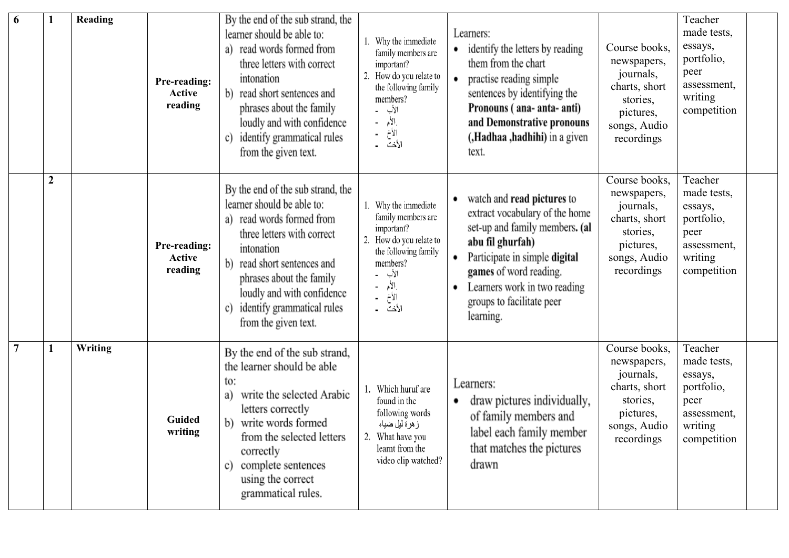| 6              |                | Reading | Pre-reading:<br><b>Active</b><br>reading | By the end of the sub strand, the<br>learner should be able to:<br>read words formed from<br>a)<br>three letters with correct<br>intonation<br>read short sentences and<br>b)<br>phrases about the family<br>loudly and with confidence<br>identify grammatical rules<br>c)<br>from the given text. | 1. Why the immediate<br>family members are<br>important?<br>How do you relate to<br>the following family<br>members?<br>الأب<br>إلأم<br>إلأخ<br>الأخت | Learners:<br>identify the letters by reading<br>them from the chart<br>practise reading simple<br>sentences by identifying the<br>Pronouns (ana-anta-anti)<br>and Demonstrative pronouns<br>(Hadhaa ,hadhihi) in a given<br>text.                            | Course books,<br>newspapers,<br>journals,<br>charts, short<br>stories,<br>pictures,<br>songs, Audio<br>recordings | Teacher<br>made tests,<br>essays,<br>portfolio,<br>peer<br>assessment,<br>writing<br>competition |
|----------------|----------------|---------|------------------------------------------|-----------------------------------------------------------------------------------------------------------------------------------------------------------------------------------------------------------------------------------------------------------------------------------------------------|-------------------------------------------------------------------------------------------------------------------------------------------------------|--------------------------------------------------------------------------------------------------------------------------------------------------------------------------------------------------------------------------------------------------------------|-------------------------------------------------------------------------------------------------------------------|--------------------------------------------------------------------------------------------------|
|                | $\overline{2}$ |         | Pre-reading:<br><b>Active</b><br>reading | By the end of the sub strand, the<br>learner should be able to:<br>read words formed from<br>a)<br>three letters with correct<br>intonation<br>read short sentences and<br>b)<br>phrases about the family<br>loudly and with confidence<br>identify grammatical rules<br>C)<br>from the given text. | Why the immediate<br>family members are<br>important?<br>How do you relate to<br>the following family<br>members?<br>الأب<br>الأم<br>الأخ<br>الأخت ــ | watch and read pictures to<br>extract vocabulary of the home<br>set-up and family members. (al<br>abu fil ghurfah)<br>Participate in simple digital<br>games of word reading.<br>Learners work in two reading<br>٠<br>groups to facilitate peer<br>learning. | Course books,<br>newspapers,<br>journals,<br>charts, short<br>stories,<br>pictures,<br>songs, Audio<br>recordings | Teacher<br>made tests,<br>essays,<br>portfolio,<br>peer<br>assessment,<br>writing<br>competition |
| $\overline{7}$ |                | Writing | Guided<br>writing                        | By the end of the sub strand,<br>the learner should be able<br>to:<br>write the selected Arabic<br>a)<br>letters correctly<br>write words formed<br>b)<br>from the selected letters<br>correctly<br>complete sentences<br>c)<br>using the correct<br>grammatical rules.                             | Which huruf are<br>found in the<br>following words<br>ز هرة ليل ضياء<br>2. What have you<br>learnt from the<br>video clip watched?                    | Learners:<br>draw pictures individually,<br>of family members and<br>label each family member<br>that matches the pictures<br>drawn                                                                                                                          | Course books,<br>newspapers,<br>journals,<br>charts, short<br>stories,<br>pictures,<br>songs, Audio<br>recordings | Teacher<br>made tests,<br>essays,<br>portfolio,<br>peer<br>assessment,<br>writing<br>competition |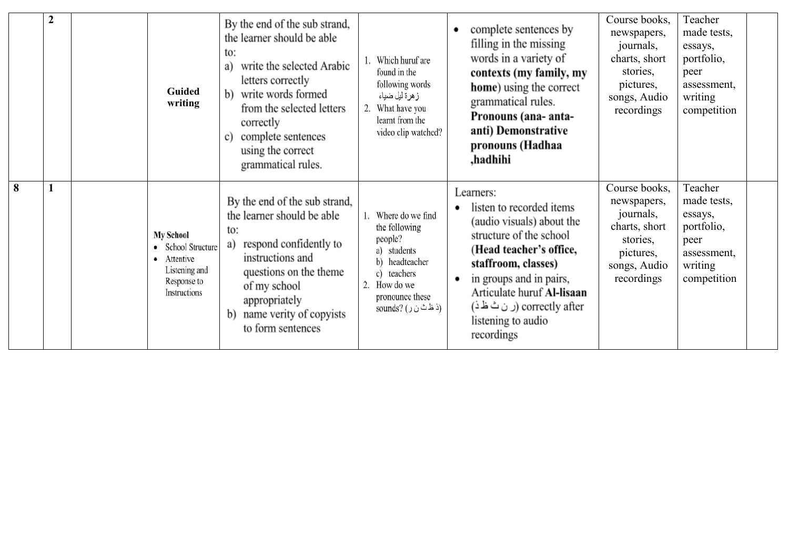|   | $\boldsymbol{2}$ |   | <b>Guided</b><br>writing                                                                          | By the end of the sub strand,<br>the learner should be able<br>to:<br>write the selected Arabic<br>a)<br>letters correctly<br>b) write words formed<br>from the selected letters<br>correctly<br>complete sentences<br>c)<br>using the correct<br>grammatical rules. | Which huruf are<br>found in the<br>following words<br>ز هر ة ليل ضياء<br>What have you<br>learnt from the<br>video clip watched?                          | complete sentences by<br>٠<br>filling in the missing<br>words in a variety of<br>contexts (my family, my<br>home) using the correct<br>grammatical rules.<br>Pronouns (ana- anta-<br>anti) Demonstrative<br>pronouns (Hadhaa<br>.hadhihi                                    | Course books,<br>newspapers,<br>journals,<br>charts, short<br>stories,<br>pictures,<br>songs, Audio<br>recordings | Teacher<br>made tests,<br>essays,<br>portfolio,<br>peer<br>assessment,<br>writing<br>competition |  |
|---|------------------|---|---------------------------------------------------------------------------------------------------|----------------------------------------------------------------------------------------------------------------------------------------------------------------------------------------------------------------------------------------------------------------------|-----------------------------------------------------------------------------------------------------------------------------------------------------------|-----------------------------------------------------------------------------------------------------------------------------------------------------------------------------------------------------------------------------------------------------------------------------|-------------------------------------------------------------------------------------------------------------------|--------------------------------------------------------------------------------------------------|--|
| 8 |                  | ٠ | <b>My School</b><br>School Structure<br>Attentive<br>Listening and<br>Response to<br>Instructions | By the end of the sub strand,<br>the learner should be able<br>to:<br>respond confidently to<br>a)<br>instructions and<br>questions on the theme<br>of my school<br>appropriately<br>name verity of copyists<br>b)<br>to form sentences                              | Where do we find<br>the following<br>people?<br>a) students<br>headteacher<br>b)<br>teachers<br>2.<br>How do we<br>pronounce these<br>(ذ ظاث ن ر) ?sounds | Learners:<br>listen to recorded items<br>(audio visuals) about the<br>structure of the school<br>(Head teacher's office,<br>staffroom, classes)<br>in groups and in pairs,<br>Articulate huruf Al-lisaan<br>correctly after (ر ن ٹ ظ ذ)<br>listening to audio<br>recordings | Course books,<br>newspapers,<br>journals,<br>charts, short<br>stories,<br>pictures,<br>songs, Audio<br>recordings | Teacher<br>made tests,<br>essays,<br>portfolio,<br>peer<br>assessment,<br>writing<br>competition |  |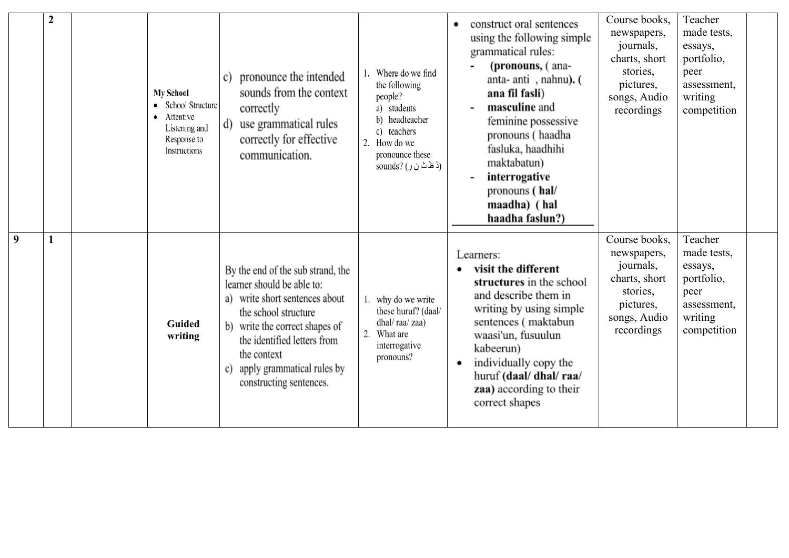|   | $\boldsymbol{2}$ | <b>My School</b><br>• School Structure<br>• Attentive<br>Listening and<br>Response to<br>Instructions | pronounce the intended<br>c)<br>sounds from the context<br>correctly<br>use grammatical rules<br>d)<br>correctly for effective<br>communication.                                                                                                                               | Where do we find<br>the following<br>people?<br>a) students<br>b) headteacher<br>c) teachers<br>2. How do we<br>pronounce these<br>(ذ ظ ٹ ن ر ) (sounds | construct oral sentences<br>٠<br>using the following simple<br>grammatical rules:<br>(pronouns, (ana-<br>anta- anti, nahnu). (<br>ana fil fasli)<br>masculine and<br>feminine possessive<br>pronouns (haadha<br>fasluka, haadhihi<br>maktabatun)<br>interrogative<br>pronouns (hal/<br>maadha) (hal<br>haadha faslun?) | Course books,<br>newspapers,<br>journals,<br>charts, short<br>stories,<br>pictures,<br>songs, Audio<br>recordings | Teacher<br>made tests,<br>essays,<br>portfolio,<br>peer<br>assessment,<br>writing<br>competition |  |
|---|------------------|-------------------------------------------------------------------------------------------------------|--------------------------------------------------------------------------------------------------------------------------------------------------------------------------------------------------------------------------------------------------------------------------------|---------------------------------------------------------------------------------------------------------------------------------------------------------|------------------------------------------------------------------------------------------------------------------------------------------------------------------------------------------------------------------------------------------------------------------------------------------------------------------------|-------------------------------------------------------------------------------------------------------------------|--------------------------------------------------------------------------------------------------|--|
| 9 |                  | Guided<br>writing                                                                                     | By the end of the sub strand, the<br>learner should be able to:<br>write short sentences about<br>a)<br>the school structure<br>write the correct shapes of<br>b)<br>the identified letters from<br>the context<br>apply grammatical rules by<br>C)<br>constructing sentences. | 1. why do we write<br>these huruf? (daal/<br>dhal/raa/zaa)<br>2. What are<br>interrogative<br>pronouns?                                                 | Learners:<br>visit the different<br>structures in the school<br>and describe them in<br>writing by using simple<br>sentences (maktabun<br>waasi'un, fusuulun<br>kabeerun)<br>individually copy the<br>huruf (daal/ dhal/ raa/<br>zaa) according to their<br>correct shapes                                             | Course books,<br>newspapers,<br>journals,<br>charts, short<br>stories,<br>pictures,<br>songs, Audio<br>recordings | Teacher<br>made tests,<br>essays,<br>portfolio,<br>peer<br>assessment,<br>writing<br>competition |  |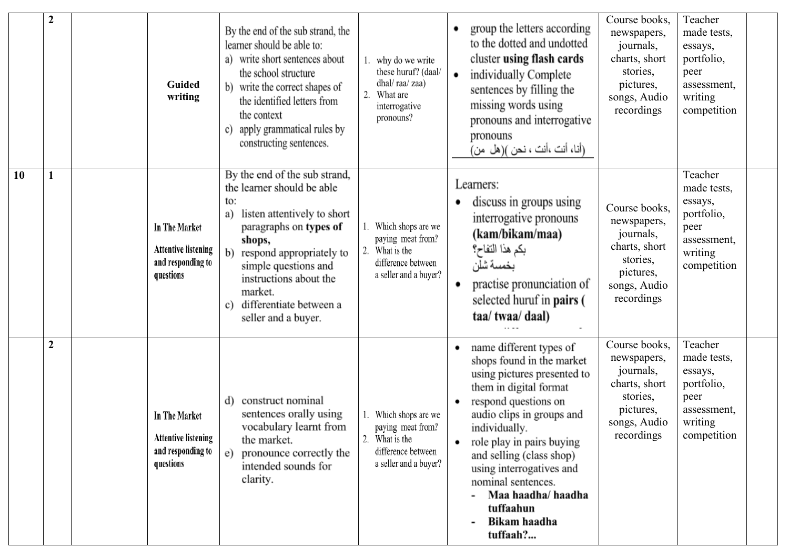|    | $\boldsymbol{2}$ | Guided<br>writing                                                                    | By the end of the sub strand, the<br>learner should be able to:<br>write short sentences about<br>a)<br>the school structure<br>b) write the correct shapes of<br>the identified letters from<br>the context<br>apply grammatical rules by<br>c)<br>constructing sentences.                        | why do we write<br>these huruf? (daal/<br>dhal/raa/zaa)<br>2.<br>What are<br>interrogative<br>pronouns?     | group the letters according<br>to the dotted and undotted<br>cluster using flash cards<br>individually Complete<br>٠<br>sentences by filling the<br>missing words using<br>pronouns and interrogative<br>pronouns<br>(أنا، أنت ،أنت ، نحن )(هل من)                                                                                                                      | Course books.<br>newspapers,<br>journals,<br>charts, short<br>stories,<br>pictures,<br>songs, Audio<br>recordings | Teacher<br>made tests,<br>essays,<br>portfolio,<br>peer<br>assessment,<br>writing<br>competition |
|----|------------------|--------------------------------------------------------------------------------------|----------------------------------------------------------------------------------------------------------------------------------------------------------------------------------------------------------------------------------------------------------------------------------------------------|-------------------------------------------------------------------------------------------------------------|-------------------------------------------------------------------------------------------------------------------------------------------------------------------------------------------------------------------------------------------------------------------------------------------------------------------------------------------------------------------------|-------------------------------------------------------------------------------------------------------------------|--------------------------------------------------------------------------------------------------|
| 10 | 1                | <b>In The Market</b><br><b>Attentive listening</b><br>and responding to<br>questions | By the end of the sub strand,<br>the learner should be able<br>to:<br>listen attentively to short<br>a)<br>paragraphs on types of<br>shops,<br>b)<br>respond appropriately to<br>simple questions and<br>instructions about the<br>market.<br>differentiate between a<br>C)<br>seller and a buyer. | 1. Which shops are we<br>paying meat from?<br>2. What is the<br>difference between<br>a seller and a buyer? | Learners:<br>discuss in groups using<br>interrogative pronouns<br>(kam/bikam/maa)<br>بكم هذا التفاح؟<br>بخمسة شلن<br>practise pronunciation of<br>selected huruf in <b>pairs</b> (<br>taa/ twaa/ daal)                                                                                                                                                                  | Course books.<br>newspapers,<br>journals,<br>charts, short<br>stories,<br>pictures,<br>songs, Audio<br>recordings | Teacher<br>made tests,<br>essays,<br>portfolio,<br>peer<br>assessment,<br>writing<br>competition |
|    | $\boldsymbol{2}$ | <b>In The Market</b><br><b>Attentive listening</b><br>and responding to<br>questions | construct nominal<br>d)<br>sentences orally using<br>vocabulary learnt from<br>the market.<br>pronounce correctly the<br>e)<br>intended sounds for<br>clarity.                                                                                                                                     | Which shops are we<br>paying meat from?<br>What is the<br>2.<br>difference between<br>a seller and a buyer? | name different types of<br>٠<br>shops found in the market<br>using pictures presented to<br>them in digital format<br>respond questions on<br>audio clips in groups and<br>individually.<br>role play in pairs buying<br>٠<br>and selling (class shop)<br>using interrogatives and<br>nominal sentences.<br>Maa haadha/ haadha<br>tuffaahun<br>Bikam haadha<br>tuffaah? | Course books.<br>newspapers,<br>journals,<br>charts, short<br>stories,<br>pictures,<br>songs, Audio<br>recordings | Teacher<br>made tests,<br>essays,<br>portfolio,<br>peer<br>assessment,<br>writing<br>competition |